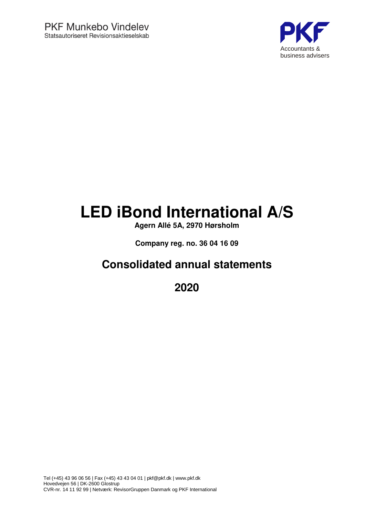

# **LED iBond International A/S**

**Agern Allé 5A, 2970 Hørsholm**

**Company reg. no. 36 04 16 09**

## **Consolidated annual statements**

**2020**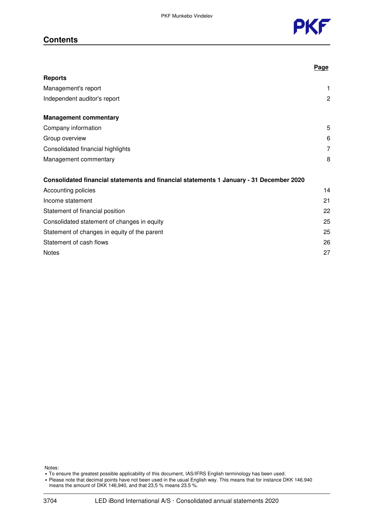## **Contents**



|                                                                                         | <u>Page</u> |
|-----------------------------------------------------------------------------------------|-------------|
| <b>Reports</b>                                                                          |             |
| Management's report                                                                     | 1           |
| Independent auditor's report                                                            | 2           |
| <b>Management commentary</b>                                                            |             |
| Company information                                                                     | 5           |
| Group overview                                                                          | 6           |
| Consolidated financial highlights                                                       | 7           |
| Management commentary                                                                   | 8           |
| Consolidated financial statements and financial statements 1 January - 31 December 2020 |             |
| Accounting policies                                                                     | 14          |
| Income statement                                                                        | 21          |
| Statement of financial position                                                         | 22          |
| Consolidated statement of changes in equity                                             | 25          |
| Statement of changes in equity of the parent                                            | 25          |
| Statement of cash flows                                                                 | 26          |
| <b>Notes</b>                                                                            | 27          |

Notes:

- To ensure the greatest possible applicability of this document, IAS/IFRS English terminology has been used.
- Please note that decimal points have not been used in the usual English way. This means that for instance DKK 146.940
- means the amount of DKK 146,940, and that 23,5 % means 23.5 %.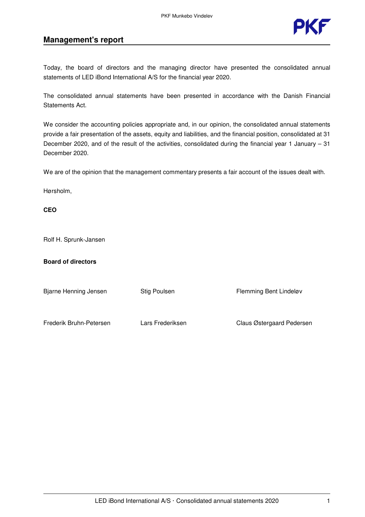

## **Management's report**

Today, the board of directors and the managing director have presented the consolidated annual statements of LED iBond International A/S for the financial year 2020.

The consolidated annual statements have been presented in accordance with the Danish Financial Statements Act.

We consider the accounting policies appropriate and, in our opinion, the consolidated annual statements provide a fair presentation of the assets, equity and liabilities, and the financial position, consolidated at 31 December 2020, and of the result of the activities, consolidated during the financial year 1 January – 31 December 2020.

We are of the opinion that the management commentary presents a fair account of the issues dealt with.

Hørsholm,

**CEO**

Rolf H. Sprunk-Jansen

#### **Board of directors**

Bjarne Henning Jensen Stig Poulsen Flemming Bent Lindeløv

Frederik Bruhn-Petersen Lars Frederiksen Claus Østergaard Pedersen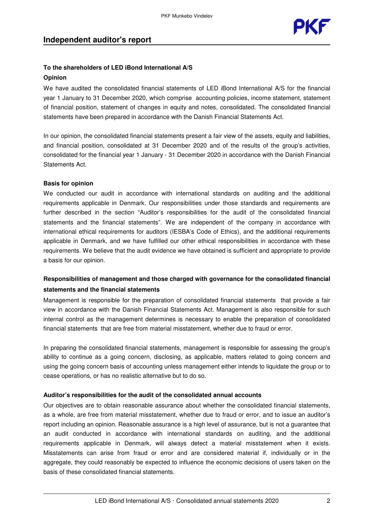### **To the shareholders of LED iBond International A/S Opinion**

We have audited the consolidated financial statements of LED iBond International A/S for the financial year 1 January to 31 December 2020, which comprise accounting policies, income statement, statement of financial position, statement of changes in equity and notes, consolidated. The consolidated financial statements have been prepared in accordance with the Danish Financial Statements Act.

In our opinion, the consolidated financial statements present a fair view of the assets, equity and liabilities, and financial position, consolidated at 31 December 2020 and of the results of the group's activities, consolidated for the financial year 1 January - 31 December 2020 in accordance with the Danish Financial Statements Act.

#### **Basis for opinion**

We conducted our audit in accordance with international standards on auditing and the additional requirements applicable in Denmark. Our responsibilities under those standards and requirements are further described in the section "Auditor's responsibilities for the audit of the consolidated financial statements and the financial statements". We are independent of the company in accordance with international ethical requirements for auditors (IESBA's Code of Ethics), and the additional requirements applicable in Denmark, and we have fulfilled our other ethical responsibilities in accordance with these requirements. We believe that the audit evidence we have obtained is sufficient and appropriate to provide a basis for our opinion.

## **Responsibilities of management and those charged with governance for the consolidated financial statements and the financial statements**

Management is responsible for the preparation of consolidated financial statements that provide a fair view in accordance with the Danish Financial Statements Act. Management is also responsible for such internal control as the management determines is necessary to enable the preparation of consolidated financial statements that are free from material misstatement, whether due to fraud or error.

In preparing the consolidated financial statements, management is responsible for assessing the group's ability to continue as a going concern, disclosing, as applicable, matters related to going concern and using the going concern basis of accounting unless management either intends to liquidate the group or to cease operations, or has no realistic alternative but to do so.

#### **Auditor's responsibilities for the audit of the consolidated annual accounts**

Our objectives are to obtain reasonable assurance about whether the consolidated financial statements, as a whole, are free from material misstatement, whether due to fraud or error, and to issue an auditor's report including an opinion. Reasonable assurance is a high level of assurance, but is not a guarantee that an audit conducted in accordance with international standards on auditing, and the additional requirements applicable in Denmark, will always detect a material misstatement when it exists. Misstatements can arise from fraud or error and are considered material if, individually or in the aggregate, they could reasonably be expected to influence the economic decisions of users taken on the basis of these consolidated financial statements.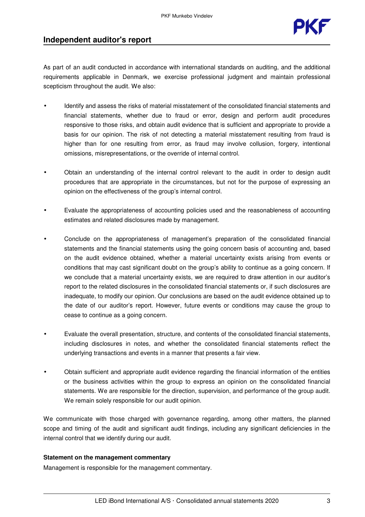

## **Independent auditor's report**

As part of an audit conducted in accordance with international standards on auditing, and the additional requirements applicable in Denmark, we exercise professional judgment and maintain professional scepticism throughout the audit. We also:

- Identify and assess the risks of material misstatement of the consolidated financial statements and financial statements, whether due to fraud or error, design and perform audit procedures responsive to those risks, and obtain audit evidence that is sufficient and appropriate to provide a basis for our opinion. The risk of not detecting a material misstatement resulting from fraud is higher than for one resulting from error, as fraud may involve collusion, forgery, intentional omissions, misrepresentations, or the override of internal control.
- Obtain an understanding of the internal control relevant to the audit in order to design audit procedures that are appropriate in the circumstances, but not for the purpose of expressing an opinion on the effectiveness of the group's internal control.
- Evaluate the appropriateness of accounting policies used and the reasonableness of accounting estimates and related disclosures made by management.
- Conclude on the appropriateness of management's preparation of the consolidated financial statements and the financial statements using the going concern basis of accounting and, based on the audit evidence obtained, whether a material uncertainty exists arising from events or conditions that may cast significant doubt on the group's ability to continue as a going concern. If we conclude that a material uncertainty exists, we are required to draw attention in our auditor's report to the related disclosures in the consolidated financial statements or, if such disclosures are inadequate, to modify our opinion. Our conclusions are based on the audit evidence obtained up to the date of our auditor's report. However, future events or conditions may cause the group to cease to continue as a going concern.
- Evaluate the overall presentation, structure, and contents of the consolidated financial statements, including disclosures in notes, and whether the consolidated financial statements reflect the underlying transactions and events in a manner that presents a fair view.
- Obtain sufficient and appropriate audit evidence regarding the financial information of the entities or the business activities within the group to express an opinion on the consolidated financial statements. We are responsible for the direction, supervision, and performance of the group audit. We remain solely responsible for our audit opinion.

We communicate with those charged with governance regarding, among other matters, the planned scope and timing of the audit and significant audit findings, including any significant deficiencies in the internal control that we identify during our audit.

#### **Statement on the management commentary**

Management is responsible for the management commentary.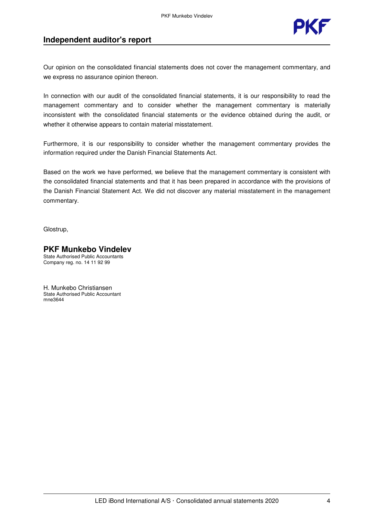

## **Independent auditor's report**

Our opinion on the consolidated financial statements does not cover the management commentary, and we express no assurance opinion thereon.

In connection with our audit of the consolidated financial statements, it is our responsibility to read the management commentary and to consider whether the management commentary is materially inconsistent with the consolidated financial statements or the evidence obtained during the audit, or whether it otherwise appears to contain material misstatement.

Furthermore, it is our responsibility to consider whether the management commentary provides the information required under the Danish Financial Statements Act.

Based on the work we have performed, we believe that the management commentary is consistent with the consolidated financial statements and that it has been prepared in accordance with the provisions of the Danish Financial Statement Act. We did not discover any material misstatement in the management commentary.

Glostrup,

#### **PKF Munkebo Vindelev** State Authorised Public Accountants Company reg. no. 14 11 92 99

H. Munkebo Christiansen State Authorised Public Accountant mne3644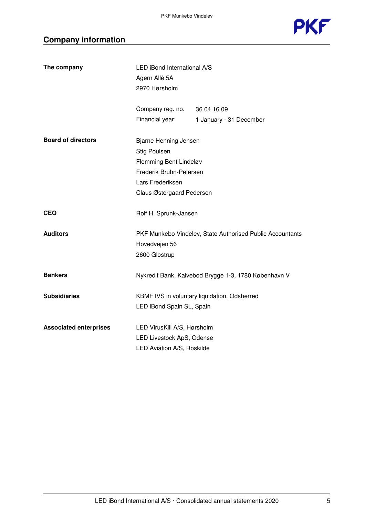

## **Company information**

| The company                   | LED iBond International A/S  |                                                           |  |
|-------------------------------|------------------------------|-----------------------------------------------------------|--|
|                               | Agern Allé 5A                |                                                           |  |
|                               | 2970 Hørsholm                |                                                           |  |
|                               | Company reg. no. 36 04 16 09 |                                                           |  |
|                               | Financial year:              | 1 January - 31 December                                   |  |
| <b>Board of directors</b>     | Bjarne Henning Jensen        |                                                           |  |
|                               | <b>Stig Poulsen</b>          |                                                           |  |
|                               | Flemming Bent Lindeløv       |                                                           |  |
|                               | Frederik Bruhn-Petersen      |                                                           |  |
|                               | Lars Frederiksen             |                                                           |  |
|                               | Claus Østergaard Pedersen    |                                                           |  |
| <b>CEO</b>                    | Rolf H. Sprunk-Jansen        |                                                           |  |
| <b>Auditors</b>               |                              | PKF Munkebo Vindelev, State Authorised Public Accountants |  |
|                               | Hovedvejen 56                |                                                           |  |
|                               | 2600 Glostrup                |                                                           |  |
| <b>Bankers</b>                |                              | Nykredit Bank, Kalvebod Brygge 1-3, 1780 København V      |  |
| <b>Subsidiaries</b>           |                              | KBMF IVS in voluntary liquidation, Odsherred              |  |
|                               | LED iBond Spain SL, Spain    |                                                           |  |
| <b>Associated enterprises</b> | LED VirusKill A/S, Hørsholm  |                                                           |  |
|                               | LED Livestock ApS, Odense    |                                                           |  |
|                               | LED Aviation A/S, Roskilde   |                                                           |  |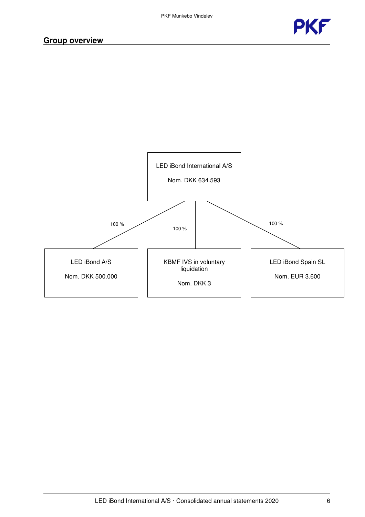



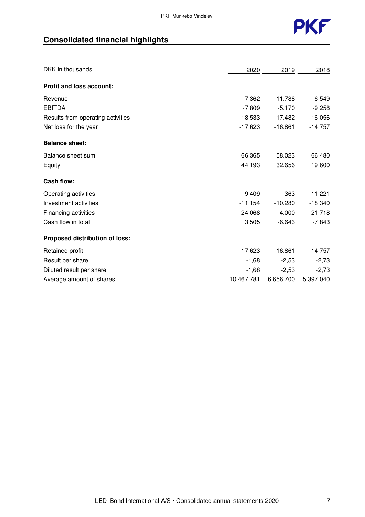

## **Consolidated financial highlights**

| DKK in thousands.                 | 2020       | 2019      | 2018      |
|-----------------------------------|------------|-----------|-----------|
| <b>Profit and loss account:</b>   |            |           |           |
| Revenue                           | 7.362      | 11.788    | 6.549     |
| <b>EBITDA</b>                     | $-7.809$   | $-5.170$  | $-9.258$  |
| Results from operating activities | $-18.533$  | $-17.482$ | $-16.056$ |
| Net loss for the year             | $-17.623$  | $-16.861$ | $-14.757$ |
| <b>Balance sheet:</b>             |            |           |           |
| Balance sheet sum                 | 66.365     | 58.023    | 66.480    |
| Equity                            | 44.193     | 32.656    | 19.600    |
| <b>Cash flow:</b>                 |            |           |           |
| Operating activities              | $-9.409$   | $-363$    | $-11.221$ |
| Investment activities             | $-11.154$  | $-10.280$ | $-18.340$ |
| Financing activities              | 24.068     | 4.000     | 21.718    |
| Cash flow in total                | 3.505      | $-6.643$  | $-7.843$  |
| Proposed distribution of loss:    |            |           |           |
| Retained profit                   | $-17.623$  | $-16.861$ | $-14.757$ |
| Result per share                  | $-1,68$    | $-2,53$   | $-2,73$   |
| Diluted result per share          | $-1,68$    | $-2,53$   | $-2,73$   |
| Average amount of shares          | 10.467.781 | 6.656.700 | 5.397.040 |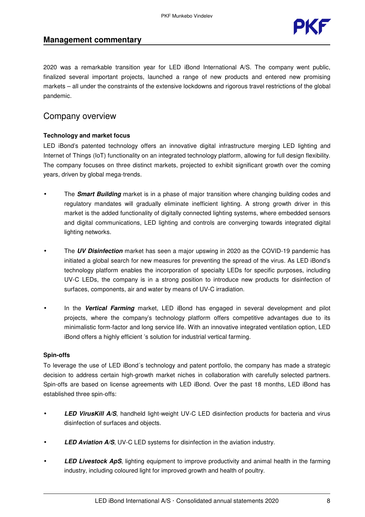

### **Management commentary**

2020 was a remarkable transition year for LED iBond International A/S. The company went public, finalized several important projects, launched a range of new products and entered new promising markets – all under the constraints of the extensive lockdowns and rigorous travel restrictions of the global pandemic.

## Company overview

#### **Technology and market focus**

LED iBond's patented technology offers an innovative digital infrastructure merging LED lighting and Internet of Things (IoT) functionality on an integrated technology platform, allowing for full design flexibility. The company focuses on three distinct markets, projected to exhibit significant growth over the coming years, driven by global mega-trends.

- The **Smart Building** market is in a phase of major transition where changing building codes and regulatory mandates will gradually eliminate inefficient lighting. A strong growth driver in this market is the added functionality of digitally connected lighting systems, where embedded sensors and digital communications, LED lighting and controls are converging towards integrated digital lighting networks.
- The **UV Disinfection** market has seen a major upswing in 2020 as the COVID-19 pandemic has initiated a global search for new measures for preventing the spread of the virus. As LED iBond's technology platform enables the incorporation of specialty LEDs for specific purposes, including UV-C LEDs, the company is in a strong position to introduce new products for disinfection of surfaces, components, air and water by means of UV-C irradiation.
- In the **Vertical Farming** market, LED iBond has engaged in several development and pilot projects, where the company's technology platform offers competitive advantages due to its minimalistic form-factor and long service life. With an innovative integrated ventilation option, LED iBond offers a highly efficient 's solution for industrial vertical farming.

#### **Spin-offs**

To leverage the use of LED iBond´s technology and patent portfolio, the company has made a strategic decision to address certain high-growth market niches in collaboration with carefully selected partners. Spin-offs are based on license agreements with LED iBond. Over the past 18 months, LED iBond has established three spin-offs:

- **LED VirusKill A/S**, handheld light-weight UV-C LED disinfection products for bacteria and virus disinfection of surfaces and objects.
- **LED Aviation A/S**, UV-C LED systems for disinfection in the aviation industry.
- **LED Livestock ApS**, lighting equipment to improve productivity and animal health in the farming industry, including coloured light for improved growth and health of poultry.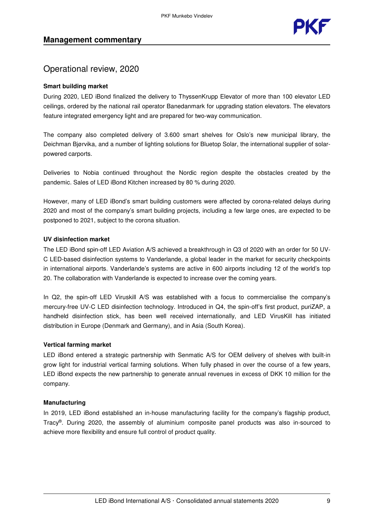

## Operational review, 2020

#### **Smart building market**

During 2020, LED iBond finalized the delivery to ThyssenKrupp Elevator of more than 100 elevator LED ceilings, ordered by the national rail operator Banedanmark for upgrading station elevators. The elevators feature integrated emergency light and are prepared for two-way communication.

The company also completed delivery of 3.600 smart shelves for Oslo's new municipal library, the Deichman Bjørvika, and a number of lighting solutions for Bluetop Solar, the international supplier of solarpowered carports.

Deliveries to Nobia continued throughout the Nordic region despite the obstacles created by the pandemic. Sales of LED iBond Kitchen increased by 80 % during 2020.

However, many of LED iBond's smart building customers were affected by corona-related delays during 2020 and most of the company's smart building projects, including a few large ones, are expected to be postponed to 2021, subject to the corona situation.

#### **UV disinfection market**

The LED iBond spin-off LED Aviation A/S achieved a breakthrough in Q3 of 2020 with an order for 50 UV-C LED-based disinfection systems to Vanderlande, a global leader in the market for security checkpoints in international airports. Vanderlande's systems are active in 600 airports including 12 of the world's top 20. The collaboration with Vanderlande is expected to increase over the coming years.

In Q2, the spin-off LED Viruskill A/S was established with a focus to commercialise the company's mercury-free UV-C LED disinfection technology. Introduced in Q4, the spin-off's first product, puriZAP, a handheld disinfection stick, has been well received internationally, and LED VirusKill has initiated distribution in Europe (Denmark and Germany), and in Asia (South Korea).

#### **Vertical farming market**

LED iBond entered a strategic partnership with Senmatic A/S for OEM delivery of shelves with built-in grow light for industrial vertical farming solutions. When fully phased in over the course of a few years, LED iBond expects the new partnership to generate annual revenues in excess of DKK 10 million for the company.

#### **Manufacturing**

In 2019, LED iBond established an in-house manufacturing facility for the company's flagship product, Tracy®. During 2020, the assembly of aluminium composite panel products was also in-sourced to achieve more flexibility and ensure full control of product quality.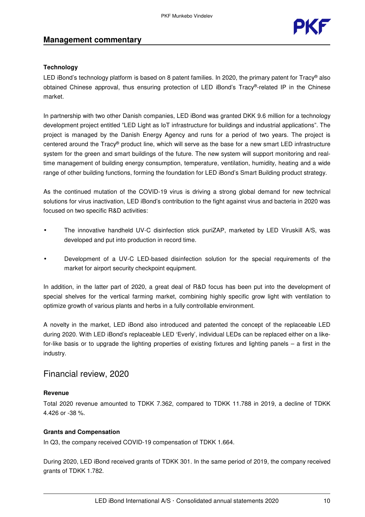

#### **Technology**

LED iBond's technology platform is based on 8 patent families. In 2020, the primary patent for Tracy® also obtained Chinese approval, thus ensuring protection of LED iBond's Tracy®-related IP in the Chinese market.

In partnership with two other Danish companies, LED iBond was granted DKK 9.6 million for a technology development project entitled "LED Light as IoT infrastructure for buildings and industrial applications". The project is managed by the Danish Energy Agency and runs for a period of two years. The project is centered around the Tracy® product line, which will serve as the base for a new smart LED infrastructure system for the green and smart buildings of the future. The new system will support monitoring and realtime management of building energy consumption, temperature, ventilation, humidity, heating and a wide range of other building functions, forming the foundation for LED iBond's Smart Building product strategy.

As the continued mutation of the COVID-19 virus is driving a strong global demand for new technical solutions for virus inactivation, LED iBond's contribution to the fight against virus and bacteria in 2020 was focused on two specific R&D activities:

- The innovative handheld UV-C disinfection stick puriZAP, marketed by LED Viruskill A/S, was developed and put into production in record time.
- Development of a UV-C LED-based disinfection solution for the special requirements of the market for airport security checkpoint equipment.

In addition, in the latter part of 2020, a great deal of R&D focus has been put into the development of special shelves for the vertical farming market, combining highly specific grow light with ventilation to optimize growth of various plants and herbs in a fully controllable environment.

A novelty in the market, LED iBond also introduced and patented the concept of the replaceable LED during 2020. With LED iBond's replaceable LED 'Everly', individual LEDs can be replaced either on a likefor-like basis or to upgrade the lighting properties of existing fixtures and lighting panels – a first in the industry.

### Financial review, 2020

#### **Revenue**

Total 2020 revenue amounted to TDKK 7.362, compared to TDKK 11.788 in 2019, a decline of TDKK 4.426 or -38 %.

#### **Grants and Compensation**

In Q3, the company received COVID-19 compensation of TDKK 1.664.

During 2020, LED iBond received grants of TDKK 301. In the same period of 2019, the company received grants of TDKK 1.782.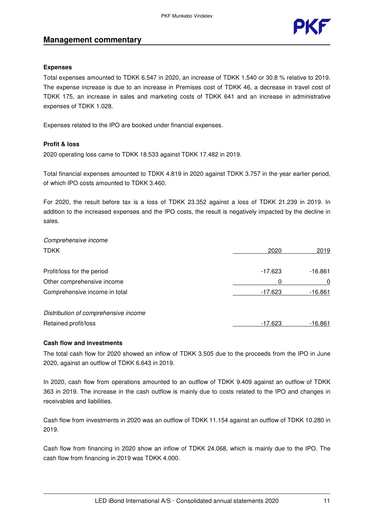### **Management commentary**



#### **Expenses**

Total expenses amounted to TDKK 6.547 in 2020, an increase of TDKK 1.540 or 30.8 % relative to 2019. The expense increase is due to an increase in Premises cost of TDKK 46, a decrease in travel cost of TDKK 175, an increase in sales and marketing costs of TDKK 641 and an increase in administrative expenses of TDKK 1.028.

Expenses related to the IPO are booked under financial expenses.

#### **Profit & loss**

2020 operating loss came to TDKK 18.533 against TDKK 17.482 in 2019.

Total financial expenses amounted to TDKK 4.819 in 2020 against TDKK 3.757 in the year earlier period, of which IPO costs amounted to TDKK 3.460.

For 2020, the result before tax is a loss of TDKK 23.352 against a loss of TDKK 21.239 in 2019. In addition to the increased expenses and the IPO costs, the result is negatively impacted by the decline in sales.

Comprehensive income TDKK 2020 2019 Profit/loss for the period example of the period of the period of the period of the period of the period of the  $-17.623$   $-16.861$ Other comprehensive income 0 0 Comprehensive income in total  $-17.623$  -16.861 Distribution of comprehensive income Retained profit/loss and the set of the set of the set of the set of the set of the set of the set of the set of the set of the set of the set of the set of the set of the set of the set of the set of the set of the set of

#### **Cash flow and investments**

The total cash flow for 2020 showed an inflow of TDKK 3.505 due to the proceeds from the IPO in June 2020, against an outflow of TDKK 6.643 in 2019.

In 2020, cash flow from operations amounted to an outflow of TDKK 9.409 against an outflow of TDKK 363 in 2019. The increase in the cash outflow is mainly due to costs related to the IPO and changes in receivables and liabilities.

Cash flow from investments in 2020 was an outflow of TDKK 11.154 against an outflow of TDKK 10.280 in 2019.

Cash flow from financing in 2020 show an inflow of TDKK 24.068, which is mainly due to the IPO. The cash flow from financing in 2019 was TDKK 4.000.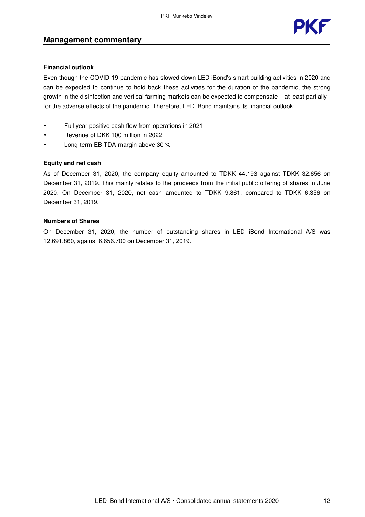### **Management commentary**



#### **Financial outlook**

Even though the COVID-19 pandemic has slowed down LED iBond's smart building activities in 2020 and can be expected to continue to hold back these activities for the duration of the pandemic, the strong growth in the disinfection and vertical farming markets can be expected to compensate – at least partially for the adverse effects of the pandemic. Therefore, LED iBond maintains its financial outlook:

- Full year positive cash flow from operations in 2021
- Revenue of DKK 100 million in 2022
- Long-term EBITDA-margin above 30 %

#### **Equity and net cash**

As of December 31, 2020, the company equity amounted to TDKK 44.193 against TDKK 32.656 on December 31, 2019. This mainly relates to the proceeds from the initial public offering of shares in June 2020. On December 31, 2020, net cash amounted to TDKK 9.861, compared to TDKK 6.356 on December 31, 2019.

#### **Numbers of Shares**

On December 31, 2020, the number of outstanding shares in LED iBond International A/S was 12.691.860, against 6.656.700 on December 31, 2019.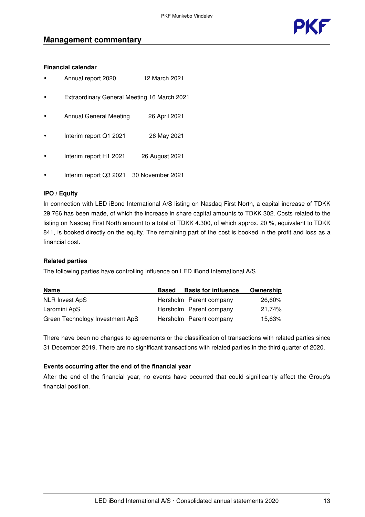

#### **Financial calendar**

- Annual report 2020 12 March 2021
- Extraordinary General Meeting 16 March 2021
- Annual General Meeting 26 April 2021
- Interim report Q1 2021 26 May 2021
- Interim report H1 2021 26 August 2021
- Interim report Q3 2021 30 November 2021

#### **IPO / Equity**

In connection with LED iBond International A/S listing on Nasdaq First North, a capital increase of TDKK 29.766 has been made, of which the increase in share capital amounts to TDKK 302. Costs related to the listing on Nasdaq First North amount to a total of TDKK 4.300, of which approx. 20 %, equivalent to TDKK 841, is booked directly on the equity. The remaining part of the cost is booked in the profit and loss as a financial cost.

#### **Related parties**

The following parties have controlling influence on LED iBond International A/S

| <b>Name</b>                     | <b>Based</b> | <b>Basis for influence</b> | Ownership |
|---------------------------------|--------------|----------------------------|-----------|
| NLR Invest ApS                  |              | Hørsholm Parent company    | 26,60%    |
| Laromini ApS                    |              | Hørsholm Parent company    | 21.74%    |
| Green Technology Investment ApS |              | Hørsholm Parent company    | 15.63%    |

There have been no changes to agreements or the classification of transactions with related parties since 31 December 2019. There are no significant transactions with related parties in the third quarter of 2020.

#### **Events occurring after the end of the financial year**

After the end of the financial year, no events have occurred that could significantly affect the Group's financial position.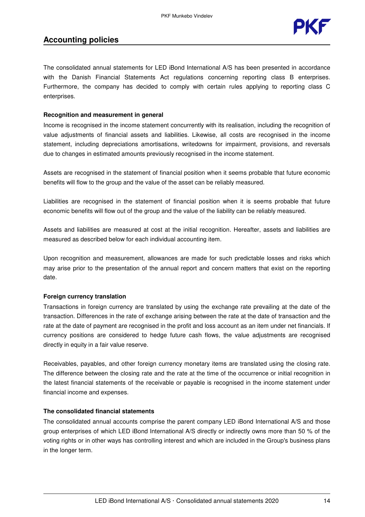

The consolidated annual statements for LED iBond International A/S has been presented in accordance with the Danish Financial Statements Act regulations concerning reporting class B enterprises. Furthermore, the company has decided to comply with certain rules applying to reporting class C enterprises.

#### **Recognition and measurement in general**

Income is recognised in the income statement concurrently with its realisation, including the recognition of value adjustments of financial assets and liabilities. Likewise, all costs are recognised in the income statement, including depreciations amortisations, writedowns for impairment, provisions, and reversals due to changes in estimated amounts previously recognised in the income statement.

Assets are recognised in the statement of financial position when it seems probable that future economic benefits will flow to the group and the value of the asset can be reliably measured.

Liabilities are recognised in the statement of financial position when it is seems probable that future economic benefits will flow out of the group and the value of the liability can be reliably measured.

Assets and liabilities are measured at cost at the initial recognition. Hereafter, assets and liabilities are measured as described below for each individual accounting item.

Upon recognition and measurement, allowances are made for such predictable losses and risks which may arise prior to the presentation of the annual report and concern matters that exist on the reporting date.

#### **Foreign currency translation**

Transactions in foreign currency are translated by using the exchange rate prevailing at the date of the transaction. Differences in the rate of exchange arising between the rate at the date of transaction and the rate at the date of payment are recognised in the profit and loss account as an item under net financials. If currency positions are considered to hedge future cash flows, the value adjustments are recognised directly in equity in a fair value reserve.

Receivables, payables, and other foreign currency monetary items are translated using the closing rate. The difference between the closing rate and the rate at the time of the occurrence or initial recognition in the latest financial statements of the receivable or payable is recognised in the income statement under financial income and expenses.

#### **The consolidated financial statements**

The consolidated annual accounts comprise the parent company LED iBond International A/S and those group enterprises of which LED iBond International A/S directly or indirectly owns more than 50 % of the voting rights or in other ways has controlling interest and which are included in the Group's business plans in the longer term.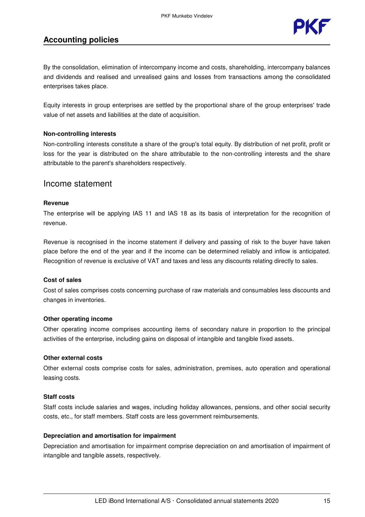

By the consolidation, elimination of intercompany income and costs, shareholding, intercompany balances and dividends and realised and unrealised gains and losses from transactions among the consolidated enterprises takes place.

Equity interests in group enterprises are settled by the proportional share of the group enterprises' trade value of net assets and liabilities at the date of acquisition.

#### **Non-controlling interests**

Non-controlling interests constitute a share of the group's total equity. By distribution of net profit, profit or loss for the year is distributed on the share attributable to the non-controlling interests and the share attributable to the parent's shareholders respectively.

#### Income statement

#### **Revenue**

The enterprise will be applying IAS 11 and IAS 18 as its basis of interpretation for the recognition of revenue.

Revenue is recognised in the income statement if delivery and passing of risk to the buyer have taken place before the end of the year and if the income can be determined reliably and inflow is anticipated. Recognition of revenue is exclusive of VAT and taxes and less any discounts relating directly to sales.

#### **Cost of sales**

Cost of sales comprises costs concerning purchase of raw materials and consumables less discounts and changes in inventories.

#### **Other operating income**

Other operating income comprises accounting items of secondary nature in proportion to the principal activities of the enterprise, including gains on disposal of intangible and tangible fixed assets.

#### **Other external costs**

Other external costs comprise costs for sales, administration, premises, auto operation and operational leasing costs.

#### **Staff costs**

Staff costs include salaries and wages, including holiday allowances, pensions, and other social security costs, etc., for staff members. Staff costs are less government reimbursements.

#### **Depreciation and amortisation for impairment**

Depreciation and amortisation for impairment comprise depreciation on and amortisation of impairment of intangible and tangible assets, respectively.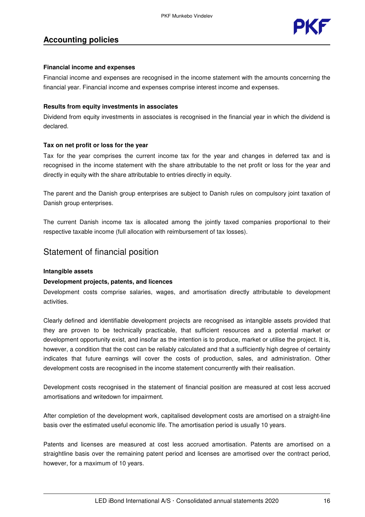

#### **Financial income and expenses**

Financial income and expenses are recognised in the income statement with the amounts concerning the financial year. Financial income and expenses comprise interest income and expenses.

#### **Results from equity investments in associates**

Dividend from equity investments in associates is recognised in the financial year in which the dividend is declared.

#### **Tax on net profit or loss for the year**

Tax for the year comprises the current income tax for the year and changes in deferred tax and is recognised in the income statement with the share attributable to the net profit or loss for the year and directly in equity with the share attributable to entries directly in equity.

The parent and the Danish group enterprises are subject to Danish rules on compulsory joint taxation of Danish group enterprises.

The current Danish income tax is allocated among the jointly taxed companies proportional to their respective taxable income (full allocation with reimbursement of tax losses).

## Statement of financial position

#### **Intangible assets**

#### **Development projects, patents, and licences**

Development costs comprise salaries, wages, and amortisation directly attributable to development activities.

Clearly defined and identifiable development projects are recognised as intangible assets provided that they are proven to be technically practicable, that sufficient resources and a potential market or development opportunity exist, and insofar as the intention is to produce, market or utilise the project. It is, however, a condition that the cost can be reliably calculated and that a sufficiently high degree of certainty indicates that future earnings will cover the costs of production, sales, and administration. Other development costs are recognised in the income statement concurrently with their realisation.

Development costs recognised in the statement of financial position are measured at cost less accrued amortisations and writedown for impairment.

After completion of the development work, capitalised development costs are amortised on a straight-line basis over the estimated useful economic life. The amortisation period is usually 10 years.

Patents and licenses are measured at cost less accrued amortisation. Patents are amortised on a straightline basis over the remaining patent period and licenses are amortised over the contract period, however, for a maximum of 10 years.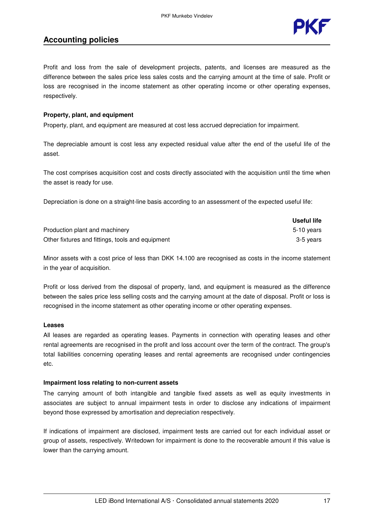

Profit and loss from the sale of development projects, patents, and licenses are measured as the difference between the sales price less sales costs and the carrying amount at the time of sale. Profit or loss are recognised in the income statement as other operating income or other operating expenses, respectively.

#### **Property, plant, and equipment**

Property, plant, and equipment are measured at cost less accrued depreciation for impairment.

The depreciable amount is cost less any expected residual value after the end of the useful life of the asset.

The cost comprises acquisition cost and costs directly associated with the acquisition until the time when the asset is ready for use.

Depreciation is done on a straight-line basis according to an assessment of the expected useful life:

|                                                  | Useful life |
|--------------------------------------------------|-------------|
| Production plant and machinery                   | 5-10 vears  |
| Other fixtures and fittings, tools and equipment | 3-5 vears   |

Minor assets with a cost price of less than DKK 14.100 are recognised as costs in the income statement in the year of acquisition.

Profit or loss derived from the disposal of property, land, and equipment is measured as the difference between the sales price less selling costs and the carrying amount at the date of disposal. Profit or loss is recognised in the income statement as other operating income or other operating expenses.

#### **Leases**

All leases are regarded as operating leases. Payments in connection with operating leases and other rental agreements are recognised in the profit and loss account over the term of the contract. The group's total liabilities concerning operating leases and rental agreements are recognised under contingencies etc.

#### **Impairment loss relating to non-current assets**

The carrying amount of both intangible and tangible fixed assets as well as equity investments in associates are subject to annual impairment tests in order to disclose any indications of impairment beyond those expressed by amortisation and depreciation respectively.

If indications of impairment are disclosed, impairment tests are carried out for each individual asset or group of assets, respectively. Writedown for impairment is done to the recoverable amount if this value is lower than the carrying amount.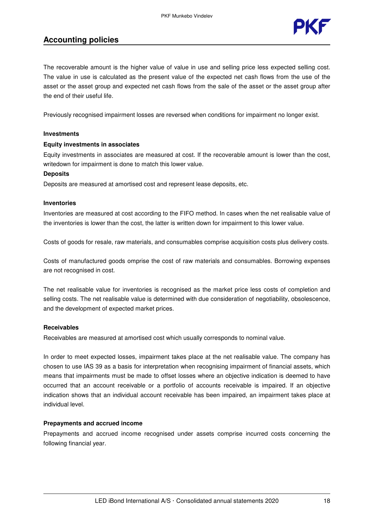

The recoverable amount is the higher value of value in use and selling price less expected selling cost. The value in use is calculated as the present value of the expected net cash flows from the use of the asset or the asset group and expected net cash flows from the sale of the asset or the asset group after the end of their useful life.

Previously recognised impairment losses are reversed when conditions for impairment no longer exist.

#### **Investments**

#### **Equity investments in associates**

Equity investments in associates are measured at cost. If the recoverable amount is lower than the cost, writedown for impairment is done to match this lower value.

#### **Deposits**

Deposits are measured at amortised cost and represent lease deposits, etc.

#### **Inventories**

Inventories are measured at cost according to the FIFO method. In cases when the net realisable value of the inventories is lower than the cost, the latter is written down for impairment to this lower value.

Costs of goods for resale, raw materials, and consumables comprise acquisition costs plus delivery costs.

Costs of manufactured goods omprise the cost of raw materials and consumables. Borrowing expenses are not recognised in cost.

The net realisable value for inventories is recognised as the market price less costs of completion and selling costs. The net realisable value is determined with due consideration of negotiability, obsolescence, and the development of expected market prices.

#### **Receivables**

Receivables are measured at amortised cost which usually corresponds to nominal value.

In order to meet expected losses, impairment takes place at the net realisable value. The company has chosen to use IAS 39 as a basis for interpretation when recognising impairment of financial assets, which means that impairments must be made to offset losses where an objective indication is deemed to have occurred that an account receivable or a portfolio of accounts receivable is impaired. If an objective indication shows that an individual account receivable has been impaired, an impairment takes place at individual level.

#### **Prepayments and accrued income**

Prepayments and accrued income recognised under assets comprise incurred costs concerning the following financial year.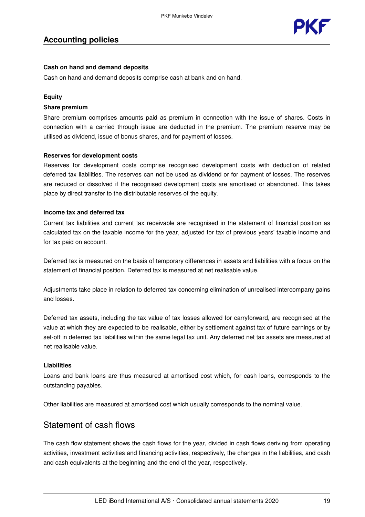

#### **Cash on hand and demand deposits**

Cash on hand and demand deposits comprise cash at bank and on hand.

#### **Equity**

#### **Share premium**

Share premium comprises amounts paid as premium in connection with the issue of shares. Costs in connection with a carried through issue are deducted in the premium. The premium reserve may be utilised as dividend, issue of bonus shares, and for payment of losses.

#### **Reserves for development costs**

Reserves for development costs comprise recognised development costs with deduction of related deferred tax liabilities. The reserves can not be used as dividend or for payment of losses. The reserves are reduced or dissolved if the recognised development costs are amortised or abandoned. This takes place by direct transfer to the distributable reserves of the equity.

#### **Income tax and deferred tax**

Current tax liabilities and current tax receivable are recognised in the statement of financial position as calculated tax on the taxable income for the year, adjusted for tax of previous years' taxable income and for tax paid on account.

Deferred tax is measured on the basis of temporary differences in assets and liabilities with a focus on the statement of financial position. Deferred tax is measured at net realisable value.

Adjustments take place in relation to deferred tax concerning elimination of unrealised intercompany gains and losses.

Deferred tax assets, including the tax value of tax losses allowed for carryforward, are recognised at the value at which they are expected to be realisable, either by settlement against tax of future earnings or by set-off in deferred tax liabilities within the same legal tax unit. Any deferred net tax assets are measured at net realisable value.

#### **Liabilities**

Loans and bank loans are thus measured at amortised cost which, for cash loans, corresponds to the outstanding payables.

Other liabilities are measured at amortised cost which usually corresponds to the nominal value.

## Statement of cash flows

The cash flow statement shows the cash flows for the year, divided in cash flows deriving from operating activities, investment activities and financing activities, respectively, the changes in the liabilities, and cash and cash equivalents at the beginning and the end of the year, respectively.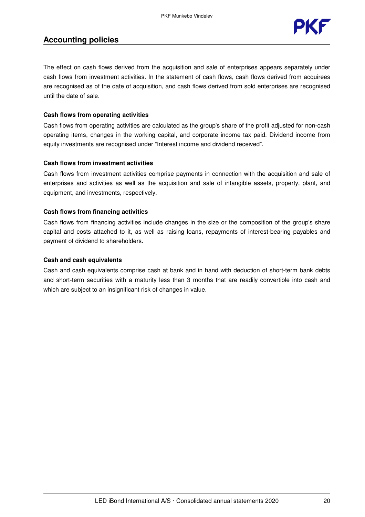

The effect on cash flows derived from the acquisition and sale of enterprises appears separately under cash flows from investment activities. In the statement of cash flows, cash flows derived from acquirees are recognised as of the date of acquisition, and cash flows derived from sold enterprises are recognised until the date of sale.

#### **Cash flows from operating activities**

Cash flows from operating activities are calculated as the group's share of the profit adjusted for non-cash operating items, changes in the working capital, and corporate income tax paid. Dividend income from equity investments are recognised under "Interest income and dividend received".

#### **Cash flows from investment activities**

Cash flows from investment activities comprise payments in connection with the acquisition and sale of enterprises and activities as well as the acquisition and sale of intangible assets, property, plant, and equipment, and investments, respectively.

#### **Cash flows from financing activities**

Cash flows from financing activities include changes in the size or the composition of the group's share capital and costs attached to it, as well as raising loans, repayments of interest-bearing payables and payment of dividend to shareholders.

#### **Cash and cash equivalents**

Cash and cash equivalents comprise cash at bank and in hand with deduction of short-term bank debts and short-term securities with a maturity less than 3 months that are readily convertible into cash and which are subject to an insignificant risk of changes in value.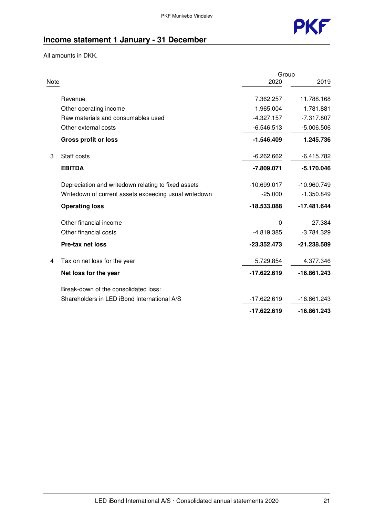

## **Income statement 1 January - 31 December**

All amounts in DKK.

|      |                                                       | Group         |               |
|------|-------------------------------------------------------|---------------|---------------|
| Note |                                                       | 2020          | 2019          |
|      | Revenue                                               | 7.362.257     | 11.788.168    |
|      | Other operating income                                | 1.965.004     | 1.781.881     |
|      | Raw materials and consumables used                    | $-4.327.157$  | $-7.317.807$  |
|      | Other external costs                                  | $-6.546.513$  | $-5.006.506$  |
|      | <b>Gross profit or loss</b>                           | $-1.546.409$  | 1.245.736     |
| 3    | Staff costs                                           | $-6.262.662$  | $-6.415.782$  |
|      | <b>EBITDA</b>                                         | $-7.809.071$  | $-5.170.046$  |
|      | Depreciation and writedown relating to fixed assets   | $-10.699.017$ | $-10.960.749$ |
|      | Writedown of current assets exceeding usual writedown | $-25.000$     | $-1.350.849$  |
|      | <b>Operating loss</b>                                 | $-18.533.088$ | $-17.481.644$ |
|      | Other financial income                                | $\mathbf{0}$  | 27.384        |
|      | Other financial costs                                 | $-4.819.385$  | $-3.784.329$  |
|      | <b>Pre-tax net loss</b>                               | $-23.352.473$ | -21.238.589   |
| 4    | Tax on net loss for the year                          | 5.729.854     | 4.377.346     |
|      | Net loss for the year                                 | $-17.622.619$ | $-16.861.243$ |
|      | Break-down of the consolidated loss:                  |               |               |
|      | Shareholders in LED iBond International A/S           | $-17.622.619$ | $-16.861.243$ |
|      |                                                       | -17.622.619   | -16.861.243   |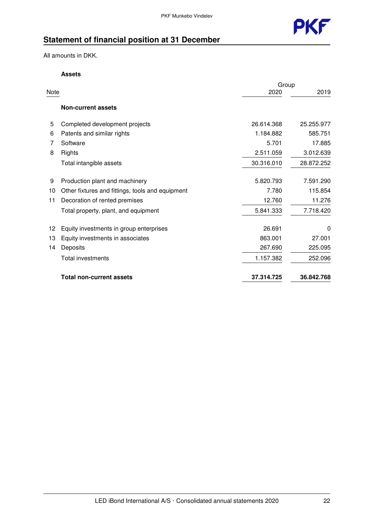

## **Statement of financial position at 31 December**

All amounts in DKK.

#### **Assets**

|      |                                                  | Group      |            |
|------|--------------------------------------------------|------------|------------|
| Note |                                                  | 2020       | 2019       |
|      | <b>Non-current assets</b>                        |            |            |
| 5    | Completed development projects                   | 26.614.368 | 25.255.977 |
| 6    | Patents and similar rights                       | 1.184.882  | 585.751    |
| 7    | Software                                         | 5.701      | 17.885     |
| 8    | Rights                                           | 2.511.059  | 3.012.639  |
|      | Total intangible assets                          | 30.316.010 | 28.872.252 |
| 9    | Production plant and machinery                   | 5.820.793  | 7.591.290  |
| 10   | Other fixtures and fittings, tools and equipment | 7.780      | 115.854    |
| 11   | Decoration of rented premises                    | 12.760     | 11.276     |
|      | Total property, plant, and equipment             | 5.841.333  | 7.718.420  |
| 12   | Equity investments in group enterprises          | 26.691     | 0          |
| 13   | Equity investments in associates                 | 863.001    | 27.001     |
| 14   | Deposits                                         | 267.690    | 225.095    |
|      | Total investments                                | 1.157.382  | 252.096    |
|      | <b>Total non-current assets</b>                  | 37.314.725 | 36.842.768 |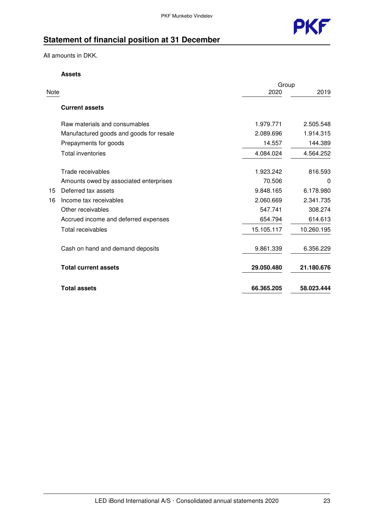

## **Statement of financial position at 31 December**

All amounts in DKK.

**Assets**

|      |                                         | Group      |            |
|------|-----------------------------------------|------------|------------|
| Note |                                         | 2020       | 2019       |
|      | <b>Current assets</b>                   |            |            |
|      | Raw materials and consumables           | 1.979.771  | 2.505.548  |
|      | Manufactured goods and goods for resale | 2.089.696  | 1.914.315  |
|      | Prepayments for goods                   | 14.557     | 144.389    |
|      | <b>Total inventories</b>                | 4.084.024  | 4.564.252  |
|      | Trade receivables                       | 1.923.242  | 816.593    |
|      | Amounts owed by associated enterprises  | 70.506     | 0          |
| 15   | Deferred tax assets                     | 9.848.165  | 6.178.980  |
| 16   | Income tax receivables                  | 2.060.669  | 2.341.735  |
|      | Other receivables                       | 547.741    | 308.274    |
|      | Accrued income and deferred expenses    | 654.794    | 614.613    |
|      | Total receivables                       | 15.105.117 | 10.260.195 |
|      | Cash on hand and demand deposits        | 9.861.339  | 6.356.229  |
|      | <b>Total current assets</b>             | 29.050.480 | 21.180.676 |
|      | <b>Total assets</b>                     | 66.365.205 | 58.023.444 |
|      |                                         |            |            |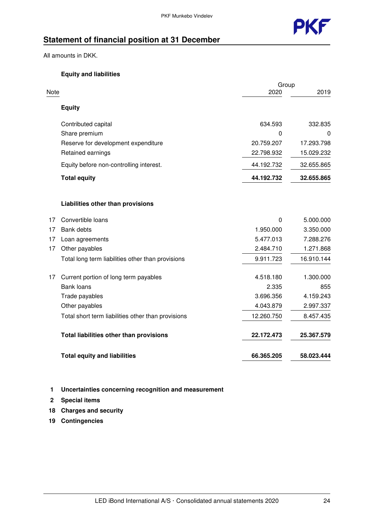

## **Statement of financial position at 31 December**

All amounts in DKK.

#### **Equity and liabilities**

|      |                                                    | Group      |            |
|------|----------------------------------------------------|------------|------------|
| Note |                                                    | 2020       | 2019       |
|      | <b>Equity</b>                                      |            |            |
|      | Contributed capital                                | 634.593    | 332.835    |
|      | Share premium                                      | 0          | 0          |
|      | Reserve for development expenditure                | 20.759.207 | 17.293.798 |
|      | Retained earnings                                  | 22.798.932 | 15.029.232 |
|      | Equity before non-controlling interest.            | 44.192.732 | 32.655.865 |
|      | <b>Total equity</b>                                | 44.192.732 | 32.655.865 |
|      | Liabilities other than provisions                  |            |            |
| 17   | Convertible loans                                  | 0          | 5.000.000  |
| 17   | <b>Bank debts</b>                                  | 1.950.000  | 3.350.000  |
| 17   | Loan agreements                                    | 5.477.013  | 7.288.276  |
| 17   | Other payables                                     | 2.484.710  | 1.271.868  |
|      | Total long term liabilities other than provisions  | 9.911.723  | 16.910.144 |
| 17   | Current portion of long term payables              | 4.518.180  | 1.300.000  |
|      | <b>Bank loans</b>                                  | 2.335      | 855        |
|      | Trade payables                                     | 3.696.356  | 4.159.243  |
|      | Other payables                                     | 4.043.879  | 2.997.337  |
|      | Total short term liabilities other than provisions | 12.260.750 | 8.457.435  |
|      | Total liabilities other than provisions            | 22.172.473 | 25.367.579 |
|      | <b>Total equity and liabilities</b>                | 66.365.205 | 58.023.444 |

#### **1 Uncertainties concerning recognition and measurement**

- **2 Special items**
- **18 Charges and security**
- **19 Contingencies**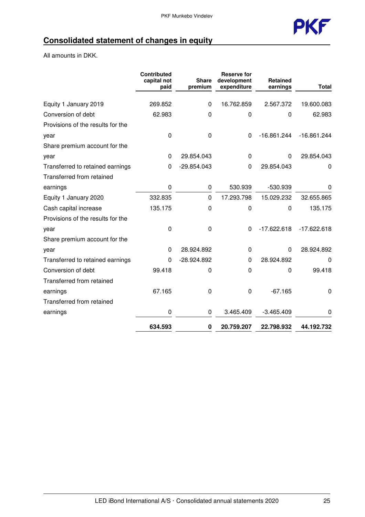

## **Consolidated statement of changes in equity**

All amounts in DKK.

|                                   | Contributed<br>capital not<br>paid | <b>Share</b><br>premium | <b>Reserve for</b><br>development<br>expenditure | <b>Retained</b><br>earnings | <b>Total</b>  |
|-----------------------------------|------------------------------------|-------------------------|--------------------------------------------------|-----------------------------|---------------|
| Equity 1 January 2019             | 269.852                            | $\Omega$                | 16.762.859                                       | 2.567.372                   | 19.600.083    |
|                                   |                                    |                         |                                                  |                             |               |
| Conversion of debt                | 62.983                             | 0                       | 0                                                | $\Omega$                    | 62.983        |
| Provisions of the results for the |                                    |                         |                                                  |                             |               |
| year                              | 0                                  | 0                       | $\Omega$                                         | $-16.861.244$               | $-16.861.244$ |
| Share premium account for the     |                                    |                         |                                                  |                             |               |
| year                              | 0                                  | 29.854.043              | 0                                                | $\Omega$                    | 29.854.043    |
| Transferred to retained earnings  | 0                                  | $-29.854.043$           | 0                                                | 29.854.043                  | 0             |
| Transferred from retained         |                                    |                         |                                                  |                             |               |
| earnings                          | 0                                  | 0                       | 530.939                                          | -530.939                    | $\Omega$      |
| Equity 1 January 2020             | 332.835                            | $\Omega$                | 17.293.798                                       | 15.029.232                  | 32.655.865    |
| Cash capital increase             | 135.175                            | 0                       | 0                                                | $\Omega$                    | 135.175       |
| Provisions of the results for the |                                    |                         |                                                  |                             |               |
| year                              | 0                                  | 0                       | $\Omega$                                         | $-17.622.618$               | $-17.622.618$ |
| Share premium account for the     |                                    |                         |                                                  |                             |               |
| year                              | 0                                  | 28.924.892              | 0                                                | $\Omega$                    | 28.924.892    |
| Transferred to retained earnings  | 0                                  | -28.924.892             | 0                                                | 28.924.892                  | O             |
| Conversion of debt                | 99.418                             | 0                       | $\Omega$                                         | 0                           | 99.418        |
| Transferred from retained         |                                    |                         |                                                  |                             |               |
| earnings                          | 67.165                             | 0                       | 0                                                | $-67.165$                   | 0             |
| Transferred from retained         |                                    |                         |                                                  |                             |               |
| earnings                          | 0                                  | 0                       | 3.465.409                                        | $-3.465.409$                | 0             |
|                                   | 634.593                            | 0                       | 20.759.207                                       | 22.798.932                  | 44.192.732    |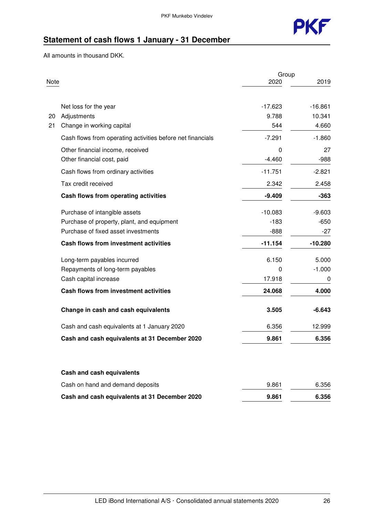

## **Statement of cash flows 1 January - 31 December**

All amounts in thousand DKK.

|      |                                                            | Group     |           |
|------|------------------------------------------------------------|-----------|-----------|
| Note |                                                            | 2020      | 2019      |
|      |                                                            |           |           |
|      | Net loss for the year                                      | $-17.623$ | $-16.861$ |
| 20   | Adjustments                                                | 9.788     | 10.341    |
| 21   | Change in working capital                                  | 544       | 4.660     |
|      | Cash flows from operating activities before net financials | $-7.291$  | $-1.860$  |
|      | Other financial income, received                           | 0         | 27        |
|      | Other financial cost, paid                                 | $-4.460$  | $-988$    |
|      | Cash flows from ordinary activities                        | $-11.751$ | $-2.821$  |
|      | Tax credit received                                        | 2.342     | 2.458     |
|      | Cash flows from operating activities                       | $-9.409$  | $-363$    |
|      | Purchase of intangible assets                              | $-10.083$ | $-9.603$  |
|      | Purchase of property, plant, and equipment                 | $-183$    | $-650$    |
|      | Purchase of fixed asset investments                        | $-888$    | -27       |
|      | Cash flows from investment activities                      | $-11.154$ | $-10.280$ |
|      | Long-term payables incurred                                | 6.150     | 5.000     |
|      | Repayments of long-term payables                           | 0         | $-1.000$  |
|      | Cash capital increase                                      | 17.918    | 0         |
|      | <b>Cash flows from investment activities</b>               | 24.068    | 4.000     |
|      | Change in cash and cash equivalents                        | 3.505     | $-6.643$  |
|      | Cash and cash equivalents at 1 January 2020                | 6.356     | 12.999    |
|      | Cash and cash equivalents at 31 December 2020              | 9.861     | 6.356     |
|      |                                                            |           |           |
|      | Cash and cash equivalents                                  |           |           |
|      | Cash on hand and demand deposits                           | 9.861     | 6.356     |
|      | Cash and cash equivalents at 31 December 2020              | 9.861     | 6.356     |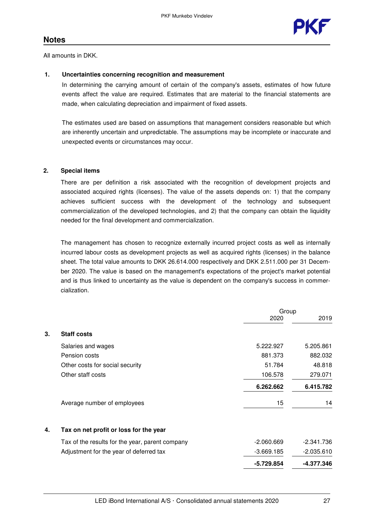All amounts in DKK.

#### **1. Uncertainties concerning recognition and measurement**

In determining the carrying amount of certain of the company's assets, estimates of how future events affect the value are required. Estimates that are material to the financial statements are made, when calculating depreciation and impairment of fixed assets.

The estimates used are based on assumptions that management considers reasonable but which are inherently uncertain and unpredictable. The assumptions may be incomplete or inaccurate and unexpected events or circumstances may occur.

#### **2. Special items**

There are per definition a risk associated with the recognition of development projects and associated acquired rights (licenses). The value of the assets depends on: 1) that the company achieves sufficient success with the development of the technology and subsequent commercialization of the developed technologies, and 2) that the company can obtain the liquidity needed for the final development and commercialization.

The management has chosen to recognize externally incurred project costs as well as internally incurred labour costs as development projects as well as acquired rights (licenses) in the balance sheet. The total value amounts to DKK 26.614.000 respectively and DKK 2.511.000 per 31 December 2020. The value is based on the management's expectations of the project's market potential and is thus linked to uncertainty as the value is dependent on the company's success in commercialization.

|    |                                                 | Group        |              |
|----|-------------------------------------------------|--------------|--------------|
|    |                                                 | 2020         | 2019         |
| 3. | <b>Staff costs</b>                              |              |              |
|    | Salaries and wages                              | 5.222.927    | 5.205.861    |
|    | Pension costs                                   | 881.373      | 882.032      |
|    | Other costs for social security                 | 51.784       | 48.818       |
|    | Other staff costs                               | 106.578      | 279.071      |
|    |                                                 | 6.262.662    | 6.415.782    |
|    | Average number of employees                     | 15           | 14           |
| 4. | Tax on net profit or loss for the year          |              |              |
|    | Tax of the results for the year, parent company | $-2.060.669$ | $-2.341.736$ |
|    | Adjustment for the year of deferred tax         | $-3.669.185$ | $-2.035.610$ |
|    |                                                 | -5.729.854   | -4.377.346   |
|    |                                                 |              |              |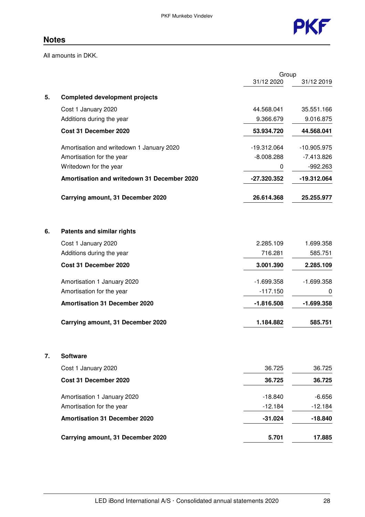

All amounts in DKK.

|    |                                             | Group         |               |
|----|---------------------------------------------|---------------|---------------|
|    |                                             | 31/12 2020    | 31/12 2019    |
| 5. | <b>Completed development projects</b>       |               |               |
|    | Cost 1 January 2020                         | 44.568.041    | 35.551.166    |
|    | Additions during the year                   | 9.366.679     | 9.016.875     |
|    | Cost 31 December 2020                       | 53.934.720    | 44.568.041    |
|    | Amortisation and writedown 1 January 2020   | $-19.312.064$ | $-10.905.975$ |
|    | Amortisation for the year                   | $-8.008.288$  | $-7.413.826$  |
|    | Writedown for the year                      | 0             | $-992.263$    |
|    | Amortisation and writedown 31 December 2020 | -27.320.352   | -19.312.064   |
|    | Carrying amount, 31 December 2020           | 26.614.368    | 25.255.977    |
| 6. | <b>Patents and similar rights</b>           |               |               |
|    | Cost 1 January 2020                         | 2.285.109     | 1.699.358     |
|    | Additions during the year                   | 716.281       | 585.751       |
|    | Cost 31 December 2020                       | 3.001.390     | 2.285.109     |
|    | Amortisation 1 January 2020                 | $-1.699.358$  | $-1.699.358$  |
|    | Amortisation for the year                   | $-117.150$    | 0             |
|    | <b>Amortisation 31 December 2020</b>        | $-1.816.508$  | $-1.699.358$  |
|    | Carrying amount, 31 December 2020           | 1.184.882     | 585.751       |
| 7. | <b>Software</b>                             |               |               |
|    | Cost 1 January 2020                         | 36.725        | 36.725        |
|    | Cost 31 December 2020                       | 36.725        | 36.725        |
|    | Amortisation 1 January 2020                 | $-18.840$     | $-6.656$      |
|    | Amortisation for the year                   | $-12.184$     | $-12.184$     |
|    | <b>Amortisation 31 December 2020</b>        | $-31.024$     | $-18.840$     |
|    | Carrying amount, 31 December 2020           | 5.701         | 17.885        |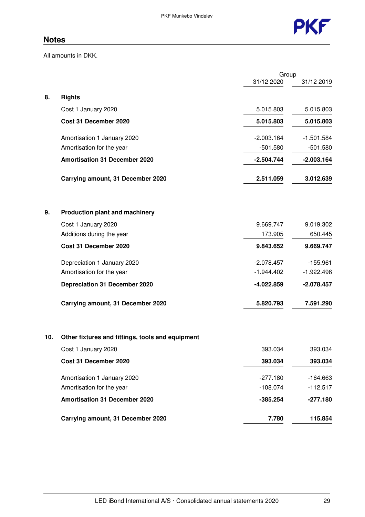

All amounts in DKK.

| Group        |              |
|--------------|--------------|
|              | 31/12 2019   |
|              |              |
| 5.015.803    | 5.015.803    |
| 5.015.803    | 5.015.803    |
| $-2.003.164$ | $-1.501.584$ |
| $-501.580$   | $-501.580$   |
| $-2.504.744$ | $-2.003.164$ |
| 2.511.059    | 3.012.639    |
|              |              |
| 9.669.747    | 9.019.302    |
| 173.905      | 650.445      |
| 9.843.652    | 9.669.747    |
| $-2.078.457$ | $-155.961$   |
| $-1.944.402$ | $-1.922.496$ |
| $-4.022.859$ | $-2.078.457$ |
| 5.820.793    | 7.591.290    |
|              |              |
| 393.034      | 393.034      |
| 393.034      | 393.034      |
| $-277.180$   | $-164.663$   |
| $-108.074$   | $-112.517$   |
| $-385.254$   | $-277.180$   |
| 7.780        | 115.854      |
|              | 31/12 2020   |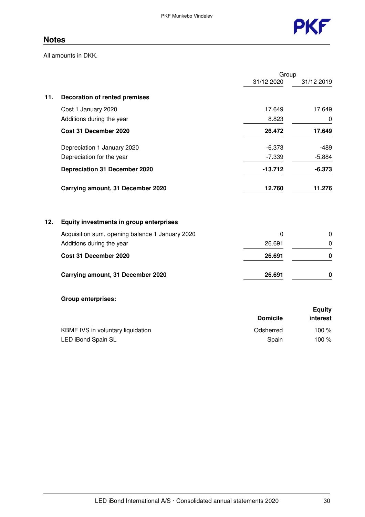

All amounts in DKK.

| Group                                                                                                                                                                                                                                                                                                                                                                                                          |             |
|----------------------------------------------------------------------------------------------------------------------------------------------------------------------------------------------------------------------------------------------------------------------------------------------------------------------------------------------------------------------------------------------------------------|-------------|
| 31/12 2020                                                                                                                                                                                                                                                                                                                                                                                                     | 31/12 2019  |
|                                                                                                                                                                                                                                                                                                                                                                                                                |             |
| 17.649                                                                                                                                                                                                                                                                                                                                                                                                         | 17.649      |
| 8.823                                                                                                                                                                                                                                                                                                                                                                                                          | 0           |
| 26.472                                                                                                                                                                                                                                                                                                                                                                                                         | 17.649      |
| $-6.373$                                                                                                                                                                                                                                                                                                                                                                                                       | -489        |
| $-7.339$                                                                                                                                                                                                                                                                                                                                                                                                       | $-5.884$    |
| $-13.712$                                                                                                                                                                                                                                                                                                                                                                                                      | $-6.373$    |
| 12.760                                                                                                                                                                                                                                                                                                                                                                                                         | 11.276      |
|                                                                                                                                                                                                                                                                                                                                                                                                                |             |
| $\Omega$                                                                                                                                                                                                                                                                                                                                                                                                       | 0           |
| 26.691                                                                                                                                                                                                                                                                                                                                                                                                         | $\mathbf 0$ |
| 26.691                                                                                                                                                                                                                                                                                                                                                                                                         | 0           |
|                                                                                                                                                                                                                                                                                                                                                                                                                |             |
| <b>Decoration of rented premises</b><br>Cost 1 January 2020<br>Additions during the year<br>Cost 31 December 2020<br>Depreciation 1 January 2020<br>Depreciation for the year<br><b>Depreciation 31 December 2020</b><br>Carrying amount, 31 December 2020<br>Equity investments in group enterprises<br>Acquisition sum, opening balance 1 January 2020<br>Additions during the year<br>Cost 31 December 2020 |             |

**Group enterprises:**

|                                   | <b>Domicile</b> | Equity<br>interest |
|-----------------------------------|-----------------|--------------------|
| KBMF IVS in voluntary liquidation | Odsherred       | 100 $%$            |
| LED iBond Spain SL                | Spain           | 100 $%$            |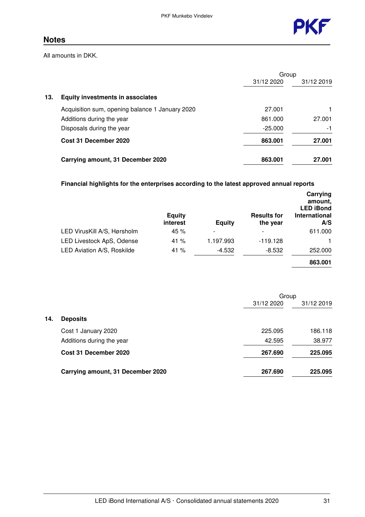

All amounts in DKK.

|     |                                                 | Group      |            |
|-----|-------------------------------------------------|------------|------------|
|     |                                                 | 31/12 2020 | 31/12 2019 |
| 13. | <b>Equity investments in associates</b>         |            |            |
|     | Acquisition sum, opening balance 1 January 2020 | 27.001     |            |
|     | Additions during the year                       | 861.000    | 27.001     |
|     | Disposals during the year                       | $-25.000$  | $-1$       |
|     | Cost 31 December 2020                           | 863,001    | 27.001     |
|     | Carrying amount, 31 December 2020               | 863,001    | 27.001     |

### **Financial highlights for the enterprises according to the latest approved annual reports**

|                                   | <b>Equity</b><br>interest | <b>Equity</b>            | <b>Results for</b><br>the year | Carrying<br>amount.<br><b>LED iBond</b><br>International<br>A/S |
|-----------------------------------|---------------------------|--------------------------|--------------------------------|-----------------------------------------------------------------|
| LED VirusKill A/S, Hørsholm       | 45 %                      | $\overline{\phantom{a}}$ |                                | 611.000                                                         |
| LED Livestock ApS, Odense         | 41 $%$                    | 1.197.993                | $-119.128$                     |                                                                 |
| <b>LED Aviation A/S, Roskilde</b> | 41 $%$                    | $-4.532$                 | $-8.532$                       | 252.000                                                         |
|                                   |                           |                          |                                | 863.001                                                         |

|     |                                   | Group      |            |
|-----|-----------------------------------|------------|------------|
|     |                                   | 31/12 2020 | 31/12 2019 |
| 14. | <b>Deposits</b>                   |            |            |
|     | Cost 1 January 2020               | 225.095    | 186.118    |
|     | Additions during the year         | 42.595     | 38.977     |
|     | Cost 31 December 2020             | 267.690    | 225,095    |
|     | Carrying amount, 31 December 2020 | 267.690    | 225.095    |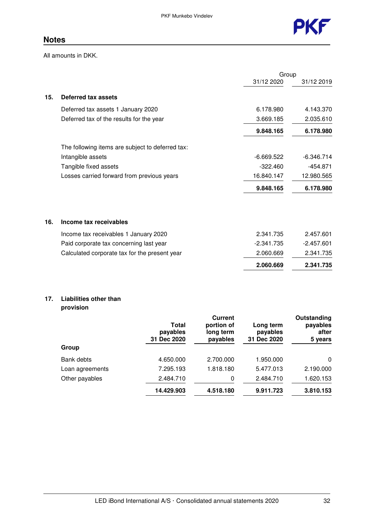

All amounts in DKK.

|                                                  | 31/12 2020   | 31/12 2019   |
|--------------------------------------------------|--------------|--------------|
| Deferred tax assets                              |              |              |
| Deferred tax assets 1 January 2020               | 6.178.980    | 4.143.370    |
| Deferred tax of the results for the year         | 3.669.185    | 2.035.610    |
|                                                  | 9.848.165    | 6.178.980    |
| The following items are subject to deferred tax: |              |              |
| Intangible assets                                | $-6.669.522$ | $-6.346.714$ |
| Tangible fixed assets                            | $-322.460$   | $-454.871$   |
| Losses carried forward from previous years       | 16.840.147   | 12.980.565   |
|                                                  | 9.848.165    | 6.178.980    |
| Income tax receivables                           |              |              |
| Income tax receivables 1 January 2020            | 2.341.735    | 2.457.601    |
| Paid corporate tax concerning last year          | $-2.341.735$ | $-2.457.601$ |
| Calculated corporate tax for the present year    | 2.060.669    | 2.341.735    |
|                                                  | 2.060.669    | 2.341.735    |
|                                                  |              | Group        |

### **17. Liabilities other than provision**

|                 | Total<br>payables<br>31 Dec 2020 | Current<br>portion of<br>long term<br>payables | Long term<br>payables<br>31 Dec 2020 | Outstanding<br>payables<br>after<br>5 years |
|-----------------|----------------------------------|------------------------------------------------|--------------------------------------|---------------------------------------------|
| Group           |                                  |                                                |                                      |                                             |
| Bank debts      | 4.650.000                        | 2.700.000                                      | 1.950.000                            | $\mathbf{0}$                                |
| Loan agreements | 7.295.193                        | 1.818.180                                      | 5.477.013                            | 2.190.000                                   |
| Other payables  | 2.484.710                        | 0                                              | 2.484.710                            | 1.620.153                                   |
|                 | 14.429.903                       | 4.518.180                                      | 9.911.723                            | 3.810.153                                   |